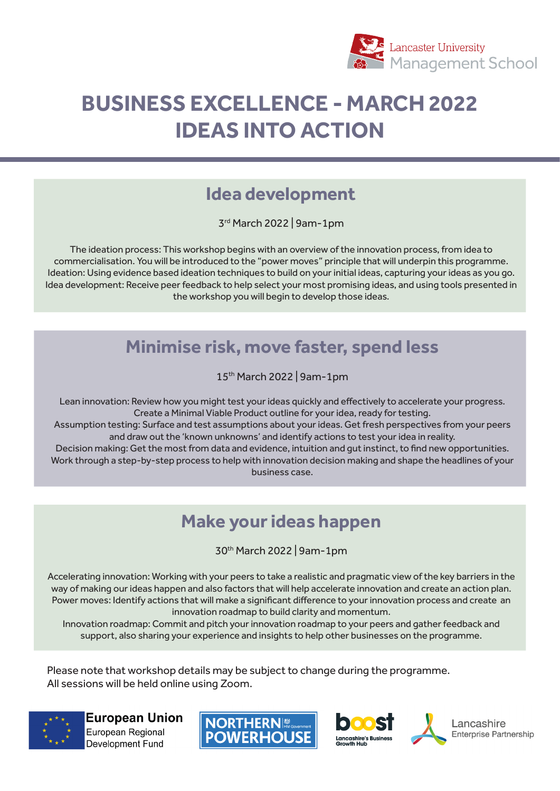

# **BUSINESS EXCELLENCE - MARCH 2022 IDEAS INTO ACTION**

### **Idea development**

3rd March 2022 | 9am-1pm

The ideation process: This workshop begins with an overview of the innovation process, from idea to commercialisation. You will be introduced to the "power moves" principle that will underpin this programme. Ideation: Using evidence based ideation techniques to build on your initial ideas, capturing your ideas as you go. Idea development: Receive peer feedback to help select your most promising ideas, and using tools presented in the workshop you will begin to develop those ideas.

### **Minimise risk, move faster, spend less**

15th March 2022 | 9am-1pm

Lean innovation: Review how you might test your ideas quickly and effectively to accelerate your progress. Create a Minimal Viable Product outline for your idea, ready for testing.

Assumption testing: Surface and test assumptions about your ideas. Get fresh perspectives from your peers and draw out the 'known unknowns' and identify actions to test your idea in reality. Decision making: Get the most from data and evidence, intuition and gut instinct, to find new opportunities.

Work through a step-by-step process to help with innovation decision making and shape the headlines of your business case.

## **Make your ideas happen**

30th March 2022 | 9am-1pm

Accelerating innovation: Working with your peers to take a realistic and pragmatic view of the key barriers in the way of making our ideas happen and also factors that will help accelerate innovation and create an action plan. Power moves: Identify actions that will make a significant difference to your innovation process and create an innovation roadmap to build clarity and momentum.

Innovation roadmap: Commit and pitch your innovation roadmap to your peers and gather feedback and support, also sharing your experience and insights to help other businesses on the programme.

Please note that workshop details may be subject to change during the programme. All sessions will be held online using Zoom.



**European Union** European Regional Development Fund





Lancashire Enterprise Partnership